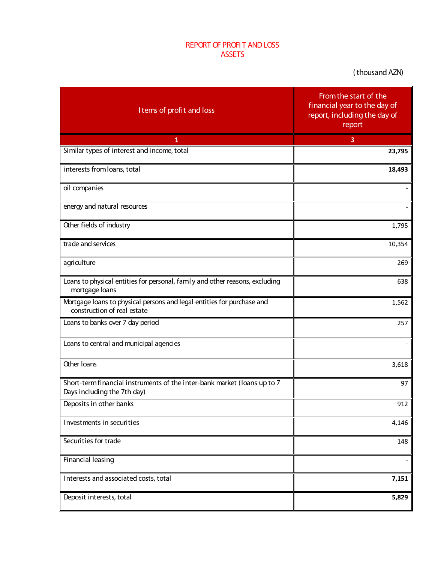## REPORT OF PROFI T AND LOSS ASSETS

( thousand AZN)

| I tems of profit and loss                                                                               | From the start of the<br>financial year to the day of<br>report, including the day of<br>report |
|---------------------------------------------------------------------------------------------------------|-------------------------------------------------------------------------------------------------|
| 1                                                                                                       | 3                                                                                               |
| Similar types of interest and income, total                                                             | 23,795                                                                                          |
| interests from loans, total                                                                             | 18,493                                                                                          |
| oil companies                                                                                           |                                                                                                 |
| energy and natural resources                                                                            |                                                                                                 |
| Other fields of industry                                                                                | 1,795                                                                                           |
| trade and services                                                                                      | 10,354                                                                                          |
| agriculture                                                                                             | 269                                                                                             |
| Loans to physical entities for personal, family and other reasons, excluding<br>mortgage loans          | 638                                                                                             |
| Mortgage loans to physical persons and legal entities for purchase and<br>construction of real estate   | 1,562                                                                                           |
| Loans to banks over 7 day period                                                                        | 257                                                                                             |
| Loans to central and municipal agencies                                                                 |                                                                                                 |
| Other Ioans                                                                                             | 3,618                                                                                           |
| Short-term financial instruments of the inter-bank market (loans up to 7<br>Days including the 7th day) | 97                                                                                              |
| Deposits in other banks                                                                                 | 912                                                                                             |
| Investments in securities                                                                               | 4,146                                                                                           |
| Securities for trade                                                                                    | 148                                                                                             |
| Financial leasing                                                                                       |                                                                                                 |
| Interests and associated costs, total                                                                   | 7,151                                                                                           |
| Deposit interests, total                                                                                | 5,829                                                                                           |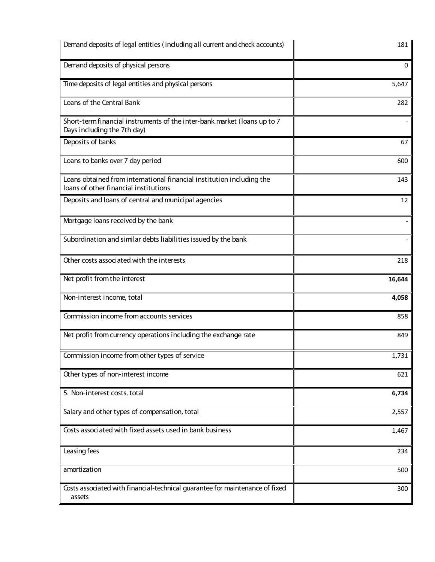| Demand deposits of legal entities (including all current and check accounts)                                   | 181    |
|----------------------------------------------------------------------------------------------------------------|--------|
| Demand deposits of physical persons                                                                            | 0      |
| Time deposits of legal entities and physical persons                                                           | 5,647  |
| Loans of the Central Bank                                                                                      | 282    |
| Short-term financial instruments of the inter-bank market (loans up to 7<br>Days including the 7th day)        |        |
| Deposits of banks                                                                                              | 67     |
| Loans to banks over 7 day period                                                                               | 600    |
| Loans obtained from international financial institution including the<br>loans of other financial institutions | 143    |
| Deposits and loans of central and municipal agencies                                                           | 12     |
| Mortgage Ioans received by the bank                                                                            |        |
| Subordination and similar debts liabilities issued by the bank                                                 |        |
| Other costs associated with the interests                                                                      | 218    |
| Net profit from the interest                                                                                   | 16,644 |
| Non-interest income, total                                                                                     | 4,058  |
| Commission income from accounts services                                                                       | 858    |
| Net profit from currency operations including the exchange rate                                                | 849    |
| Commission income from other types of service                                                                  | 1,731  |
| Other types of non-interest income                                                                             | 621    |
| 5. Non-interest costs, total                                                                                   | 6,734  |
| Salary and other types of compensation, total                                                                  | 2,557  |
| Costs associated with fixed assets used in bank business                                                       | 1,467  |
| Leasing fees                                                                                                   | 234    |
| amortization                                                                                                   | 500    |
| Costs associated with financial-technical guarantee for maintenance of fixed<br>assets                         | 300    |